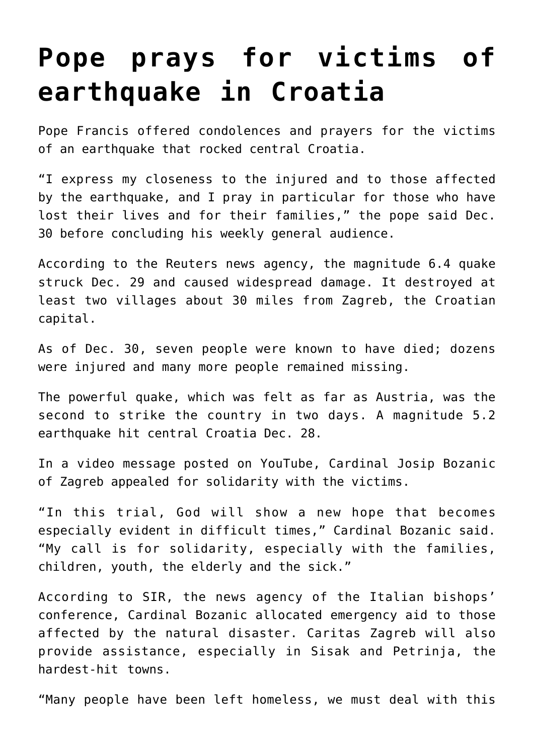## **[Pope prays for victims of](https://www.osvnews.com/2020/12/30/pope-prays-for-victims-of-earthquake-in-croatia/) [earthquake in Croatia](https://www.osvnews.com/2020/12/30/pope-prays-for-victims-of-earthquake-in-croatia/)**

Pope Francis offered condolences and prayers for the victims of an earthquake that rocked central Croatia.

"I express my closeness to the injured and to those affected by the earthquake, and I pray in particular for those who have lost their lives and for their families," the pope said Dec. 30 before concluding his weekly general audience.

According to the Reuters news agency, the magnitude 6.4 quake struck Dec. 29 and caused widespread damage. It destroyed at least two villages about 30 miles from Zagreb, the Croatian capital.

As of Dec. 30, seven people were known to have died; dozens were injured and many more people remained missing.

The powerful quake, which was felt as far as Austria, was the second to strike the country in two days. A magnitude 5.2 earthquake hit central Croatia Dec. 28.

In a video message posted on YouTube, Cardinal Josip Bozanic of Zagreb appealed for solidarity with the victims.

"In this trial, God will show a new hope that becomes especially evident in difficult times," Cardinal Bozanic said. "My call is for solidarity, especially with the families, children, youth, the elderly and the sick."

According to SIR, the news agency of the Italian bishops' conference, Cardinal Bozanic allocated emergency aid to those affected by the natural disaster. Caritas Zagreb will also provide assistance, especially in Sisak and Petrinja, the hardest-hit towns.

"Many people have been left homeless, we must deal with this